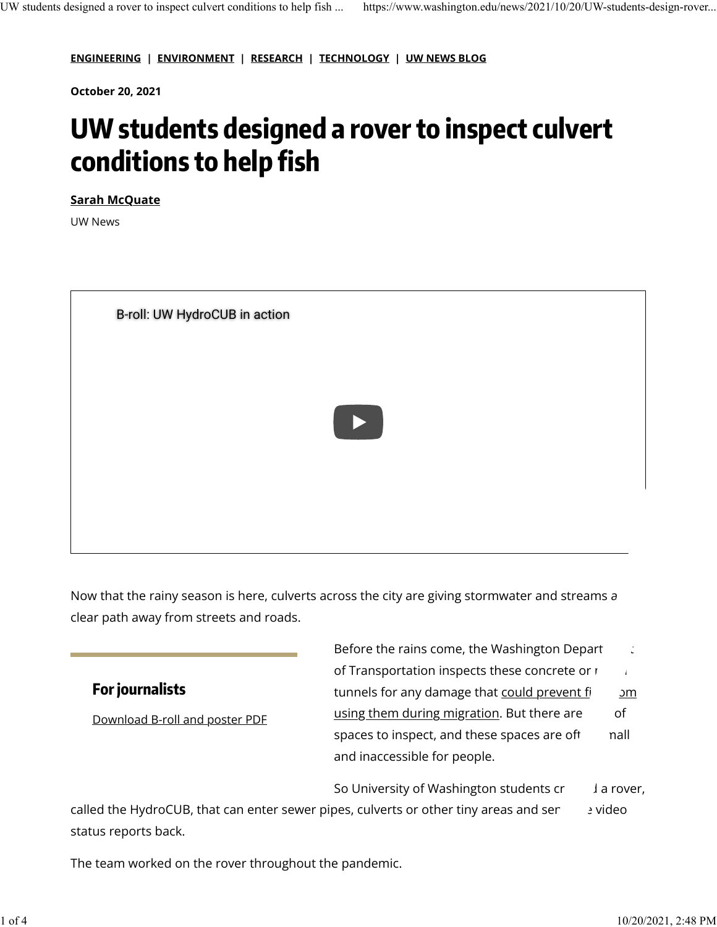**[ENGINEERING](http://www.washington.edu/news/category/engineering/) | [ENVIRONMENT](http://www.washington.edu/news/category/environment/) | [RESEARCH](http://www.washington.edu/news/category/research/) | [TECHNOLOGY](http://www.washington.edu/news/category/technology/) | [UW NEWS BLOG](http://www.washington.edu/news/category/blog/)**

**October 20, 2021**

# **UW students designed a rover to inspect culvert conditions to help fish**

**[Sarah McQuate](https://www.washington.edu/news/author/sarah-mcquate/)**

UW News



Now that the rainy season is here, culverts across the city are giving stormwater and streams a clear path away from streets and roads.

#### **For journalists**

[Download B-roll and poster PDF](https://drive.google.com/drive/folders/19bD7ypBS697h--VFeHPXiXFwcu5sn2yV?usp=sharing)

Before the rains come, the Washington Depart  $\Box$ of Transportation inspects these concrete or  $\mathbf{r}$ tunnels for any damage that [could prevent](https://wsdot.wa.gov/Projects/FishPassage/default.htm)  $f$   $\frac{3m}{2}$ [using them during migration.](https://wsdot.wa.gov/Projects/FishPassage/default.htm) But there are of spaces to inspect, and these spaces are oft nall and inaccessible for people.

So University of Washington students  $cr = \frac{1}{2}$  a rover,

called the HydroCUB, that can enter sewer pipes, culverts or other tiny areas and seretive dieo status reports back.

The team worked on the rover throughout the pandemic.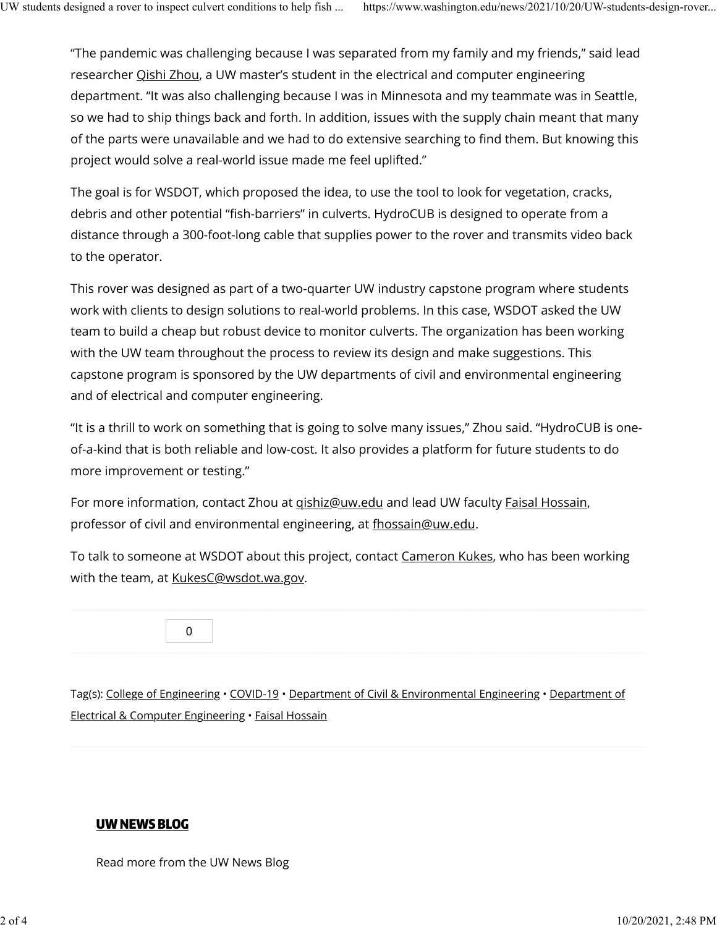"The pandemic was challenging because I was separated from my family and my friends," said lead researcher [Qishi Zhou,](https://www.linkedin.com/in/qishi-zhou-901a51170/) a UW master's student in the electrical and computer engineering department. "It was also challenging because I was in Minnesota and my teammate was in Seattle, so we had to ship things back and forth. In addition, issues with the supply chain meant that many of the parts were unavailable and we had to do extensive searching to find them. But knowing this project would solve a real-world issue made me feel uplifted."

The goal is for WSDOT, which proposed the idea, to use the tool to look for vegetation, cracks, debris and other potential "fish-barriers" in culverts. HydroCUB is designed to operate from a distance through a 300-foot-long cable that supplies power to the rover and transmits video back to the operator.

This rover was designed as part of a two-quarter UW industry capstone program where students work with clients to design solutions to real-world problems. In this case, WSDOT asked the UW team to build a cheap but robust device to monitor culverts. The organization has been working with the UW team throughout the process to review its design and make suggestions. This capstone program is sponsored by the UW departments of civil and environmental engineering and of electrical and computer engineering.

"It is a thrill to work on something that is going to solve many issues," Zhou said. "HydroCUB is oneof-a-kind that is both reliable and low-cost. It also provides a platform for future students to do more improvement or testing."

For more information, contact Zhou at [qishiz@uw.edu](mailto:qishiz@uw.edu) and lead UW faculty [Faisal Hossain,](https://www.ce.washington.edu/facultyfinder/faisal-hossain) professor of civil and environmental engineering, at [fhossain@uw.edu.](mailto:fhossain@uw.edu)

To talk to someone at WSDOT about this project, contact [Cameron Kukes,](https://www.linkedin.com/in/cameron-kukes-2770197/) who has been working with the team, at [KukesC@wsdot.wa.gov.](mailto:KukesC@wsdot.wa.gov)

[0](https://www.washington.edu/#reddit)

Tag(s): [College of Engineering](https://www.washington.edu/news/tag/college-of-engineering/) • [COVID-19](https://www.washington.edu/news/tag/covid-19/) • [Department of Civil & Environmental Engineering](https://www.washington.edu/news/tag/department-of-civil-environmental-engineering/) • [Department of](https://www.washington.edu/news/tag/department-of-electrical-computer-engineering/) [Electrical & Computer Engineering](https://www.washington.edu/news/tag/department-of-electrical-computer-engineering/) • [Faisal Hossain](https://www.washington.edu/news/tag/faisal-hossain/)

#### [UW NEWS BLOG](https://www.washington.edu/news/category/blog/)

Read more from the UW News Blog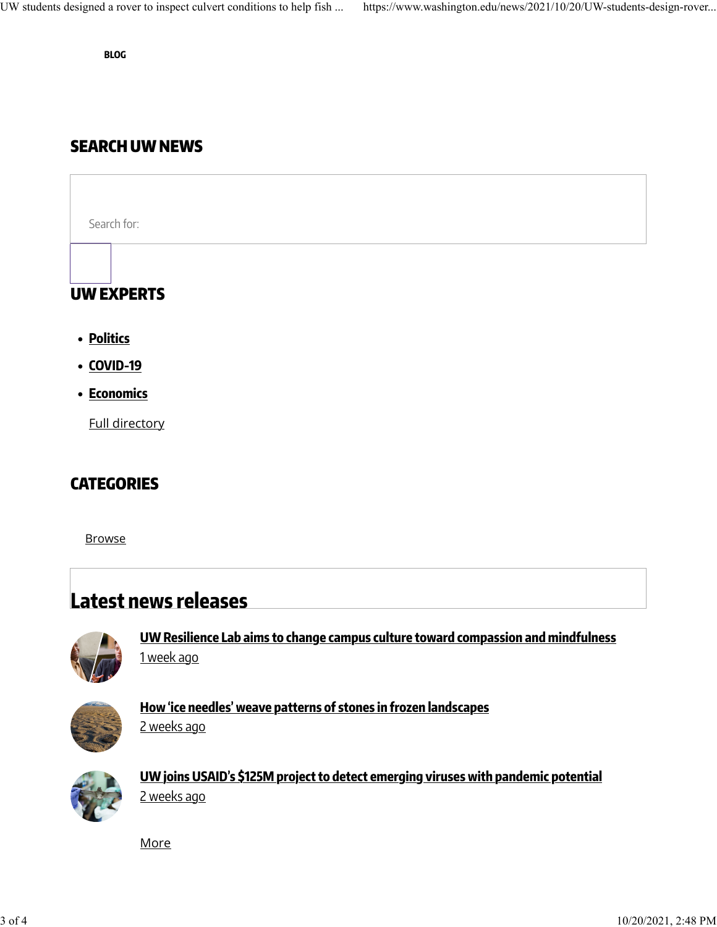**[BLOG](https://www.washington.edu/news/category/blog/)**

### SEARCH UW NEWS

Search for: UW EXPERTS

- **[Politics](https://www.washington.edu/news/experts/?search=politics)**
- **[COVID-19](https://www.washington.edu/news/for-journalists/uw-experts-on-novel-coronavirus-covid-19/?utm_source=UW%20News&utm_medium=experts&utm_campaign=homepage_widget)**
- **[Economics](https://www.washington.edu/news/experts/?expertise=economics-3)**

[Full directory](http://www.washington.edu/news/experts/?utm_source=UW%20News&utm_medium=experts&utm_campaign=homepage_widget)

## **CATEGORIES**

**[Browse](https://www.washington.edu/news/2021/10/20/UW-students-design-rover-inspect-culvert-conditions-fish/#)** 

## **Latest news releases**



**[UW Resilience Lab aims to change campus culture toward compassion and mindfulness](https://www.washington.edu/news/2021/10/11/resilience-lab/)** [1 week ago](https://www.washington.edu/news/2021/10/11/resilience-lab/)



**[How 'ice needles' weave patterns of stones in frozen landscapes](https://www.washington.edu/news/2021/10/06/how-ice-needles-weave-patterns-of-stones-in-frozen-landscapes/)** [2 weeks ago](https://www.washington.edu/news/2021/10/06/how-ice-needles-weave-patterns-of-stones-in-frozen-landscapes/)



**[UW joins USAID's \\$125M project to detect emerging viruses with pandemic potential](https://www.washington.edu/news/2021/10/05/uw-joins-usaids-125-million-project-to-detect-emerging-viruses-with-pandemic-potential/)** [2 weeks ago](https://www.washington.edu/news/2021/10/05/uw-joins-usaids-125-million-project-to-detect-emerging-viruses-with-pandemic-potential/)

**[More](https://www.washington.edu/news/?cat=23)**